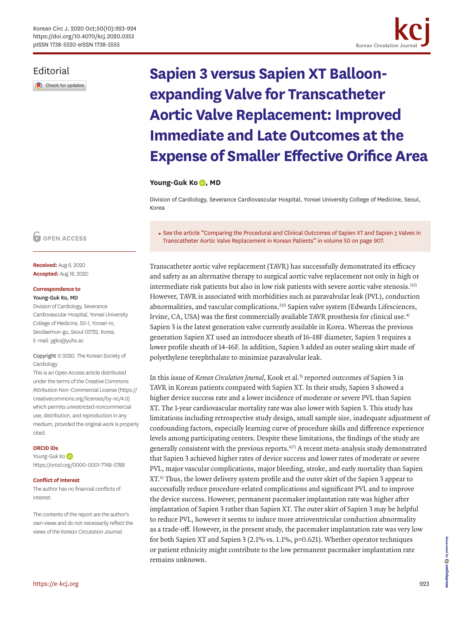<span id="page-0-2"></span><span id="page-0-0"></span>

### Editorial

Check for updates

# **Sapien 3 versus Sapien XT Balloonexpanding Valve for Transcatheter Aortic Valve Replacement: Improved Immediate and Late Outcomes at the Expense of Smaller Effective Orifice Area**

#### Young-Guk Ko **D**[,](https://orcid.org/0000-0001-7748-5788) MD

Division of Cardiology, Severance Cardiovascular Hospital, Yonsei University College of Medicine, Seoul, Korea

<span id="page-0-1"></span>► See the article "[Comparing the Procedural and Clinical Outcomes of Sapien XT and Sapien 3 Valves in](https://doi.org/10.4070/kcj.2020.0061)  [Transcatheter Aortic Valve Replacement in Korean Patients](https://doi.org/10.4070/kcj.2020.0061)" in volume 50 on page 907.

Transcatheter aortic valve replacement (TAVR) has successfully demonstrated its efficacy and safety as an alternative therapy to surgical aortic valve replacement not only in high or intermediate risk patients but also in low risk patients with severe aortic valve stenosis.<sup>[1\)](#page-1-0)[2](#page-1-1))</sup> However, TAVR is associated with morbidities such as paravalvular leak (PVL), conduction abnormalities, and vascular complications.<sup>[2](#page-1-1)[\)3\)](#page-1-2)</sup> Sapien valve system (Edwards Lifesciences, Irvine, CA, USA) was the first commercially available TAVR prosthesis for clinical use[.4](#page-1-3)) Sapien 3 is the latest generation valve currently available in Korea. Whereas the previous generation Sapien XT used an introducer sheath of 16–18F diameter, Sapien 3 requires a lower profile sheath of 14–16F. In addition, Sapien 3 added an outer sealing skirt made of polyethylene terephthalate to minimize paravalvular leak.

<span id="page-0-4"></span><span id="page-0-3"></span>In this issue of *Korean Circulation Journal*, Kook et al.<sup>[5](#page-1-4))</sup> reported outcomes of Sapien 3 in TAVR in Korean patients compared with Sapien XT. In their study, Sapien 3 showed a higher device success rate and a lower incidence of moderate or severe PVL than Sapien XT. The 1-year cardiovascular mortality rate was also lower with Sapien 3. This study has limitations including retrospective study design, small sample size, inadequate adjustment of confounding factors, especially learning curve of procedure skills and difference experience levels among participating centers. Despite these limitations, the findings of the study are generally consistent with the previous reports.<sup>6)[7](#page-1-6))</sup> A recent meta-analysis study demonstrated that Sapien 3 achieved higher rates of device success and lower rates of moderate or severe PVL, major vascular complications, major bleeding, stroke, and early mortality than Sapien XT[.6](#page-1-5)) Thus, the lower delivery system profile and the outer skirt of the Sapien 3 appear to successfully reduce procedure-related complications and significant PVL and to improve the device success. However, permanent pacemaker implantation rate was higher after implantation of Sapien 3 rather than Sapien XT. The outer skirt of Sapien 3 may be helpful to reduce PVL, however it seems to induce more atrioventricular conduction abnormality as a trade-off. However, in the present study, the pacemaker implantation rate was very low for both Sapien XT and Sapien 3 (2.1% vs. 1.1%, p=0.621). Whether operator techniques or patient ethnicity might contribute to the low permanent pacemaker implantation rate remains unknown.

**Received:** Aug 6, 2020 **Accepted:** Aug 18, 2020

#### **Correspondence to**

#### Young-Guk Ko, MD

Division of Cardiology, Severance Cardiovascular Hospital, Yonsei University College of Medicine, 50-1, Yonsei-ro, Seodaemun-gu, Seoul 03722, Korea. E-mail: ygko@yuhs.ac

Copyright © 2020. The Korean Society of **Cardiology** 

This is an Open Access article distributed under the terms of the Creative Commons Attribution Non-Commercial License [\(https://](https://creativecommons.org/licenses/by-nc/4.0) [creativecommons.org/licenses/by-nc/4.0](https://creativecommons.org/licenses/by-nc/4.0)) which permits unrestricted noncommercial use, distribution, and reproduction in any medium, provided the original work is properly cited.

#### **ORCID iDs**

Young-GukKo <https://orcid.org/0000-0001-7748-5788>

#### **Conflict of Interest**

The author has no financial conflicts of interest.

The contents of the report are the author's own views and do not necessarily reflect the views of the *Korean Circulation Journal*.